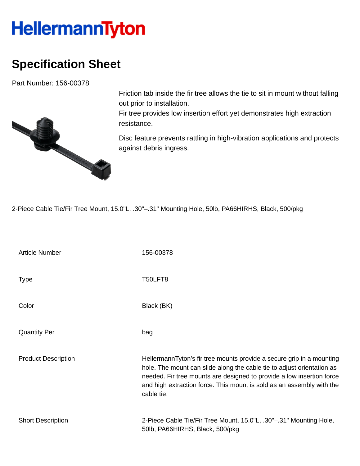## **HellermannTyton**

## **Specification Sheet**

Part Number: 156-00378



Friction tab inside the fir tree allows the tie to sit in mount without falling out prior to installation.

Fir tree provides low insertion effort yet demonstrates high extraction resistance.

Disc feature prevents rattling in high-vibration applications and protects against debris ingress.

2-Piece Cable Tie/Fir Tree Mount, 15.0"L, .30"–.31" Mounting Hole, 50lb, PA66HIRHS, Black, 500/pkg

| <b>Article Number</b>      | 156-00378                                                                                                                                                                                                                                                                                                       |
|----------------------------|-----------------------------------------------------------------------------------------------------------------------------------------------------------------------------------------------------------------------------------------------------------------------------------------------------------------|
| <b>Type</b>                | T50LFT8                                                                                                                                                                                                                                                                                                         |
| Color                      | Black (BK)                                                                                                                                                                                                                                                                                                      |
| <b>Quantity Per</b>        | bag                                                                                                                                                                                                                                                                                                             |
| <b>Product Description</b> | HellermannTyton's fir tree mounts provide a secure grip in a mounting<br>hole. The mount can slide along the cable tie to adjust orientation as<br>needed. Fir tree mounts are designed to provide a low insertion force<br>and high extraction force. This mount is sold as an assembly with the<br>cable tie. |
| <b>Short Description</b>   | 2-Piece Cable Tie/Fir Tree Mount, 15.0"L, .30"-.31" Mounting Hole,<br>50lb, PA66HIRHS, Black, 500/pkg                                                                                                                                                                                                           |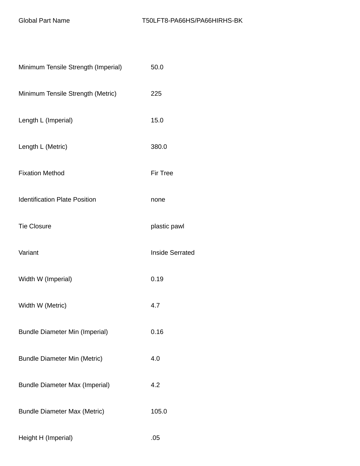| Minimum Tensile Strength (Imperial)   | 50.0                   |
|---------------------------------------|------------------------|
| Minimum Tensile Strength (Metric)     | 225                    |
| Length L (Imperial)                   | 15.0                   |
| Length L (Metric)                     | 380.0                  |
| <b>Fixation Method</b>                | <b>Fir Tree</b>        |
| <b>Identification Plate Position</b>  | none                   |
| <b>Tie Closure</b>                    | plastic pawl           |
| Variant                               | <b>Inside Serrated</b> |
| Width W (Imperial)                    | 0.19                   |
| Width W (Metric)                      | 4.7                    |
| <b>Bundle Diameter Min (Imperial)</b> | 0.16                   |
| <b>Bundle Diameter Min (Metric)</b>   | 4.0                    |
| <b>Bundle Diameter Max (Imperial)</b> | 4.2                    |
| <b>Bundle Diameter Max (Metric)</b>   | 105.0                  |
| Height H (Imperial)                   | .05                    |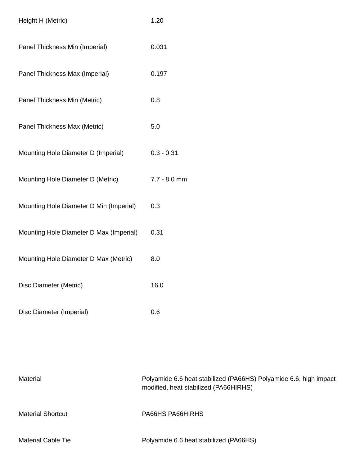| Height H (Metric)                       | 1.20           |
|-----------------------------------------|----------------|
| Panel Thickness Min (Imperial)          | 0.031          |
| Panel Thickness Max (Imperial)          | 0.197          |
| Panel Thickness Min (Metric)            | 0.8            |
| Panel Thickness Max (Metric)            | 5.0            |
| Mounting Hole Diameter D (Imperial)     | $0.3 - 0.31$   |
| Mounting Hole Diameter D (Metric)       | $7.7 - 8.0$ mm |
| Mounting Hole Diameter D Min (Imperial) | 0.3            |
| Mounting Hole Diameter D Max (Imperial) | 0.31           |
| Mounting Hole Diameter D Max (Metric)   | 8.0            |
| Disc Diameter (Metric)                  | 16.0           |
| Disc Diameter (Imperial)                | 0.6            |

| Material                  | Polyamide 6.6 heat stabilized (PA66HS) Polyamide 6.6, high impact<br>modified, heat stabilized (PA66HIRHS) |
|---------------------------|------------------------------------------------------------------------------------------------------------|
| <b>Material Shortcut</b>  | PA66HS PA66HIRHS                                                                                           |
| <b>Material Cable Tie</b> | Polyamide 6.6 heat stabilized (PA66HS)                                                                     |